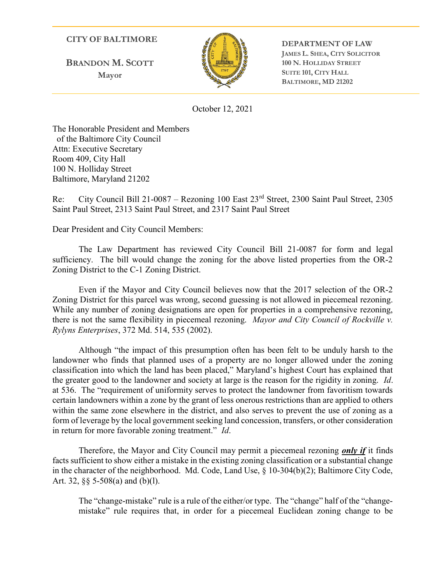#### CITY OF BALTIMORE

BRANDON M. SCOTT Mayor



DEPARTMENT OF LAW JAMES L. SHEA, CITY SOLICITOR 100 N. HOLLIDAY STREET SUITE 101, CITY HALL BALTIMORE, MD 21202

October 12, 2021

The Honorable President and Members of the Baltimore City Council Attn: Executive Secretary Room 409, City Hall 100 N. Holliday Street Baltimore, Maryland 21202

Re: City Council Bill 21-0087 – Rezoning 100 East 23rd Street, 2300 Saint Paul Street, 2305 Saint Paul Street, 2313 Saint Paul Street, and 2317 Saint Paul Street

Dear President and City Council Members:

The Law Department has reviewed City Council Bill 21-0087 for form and legal sufficiency. The bill would change the zoning for the above listed properties from the OR-2 Zoning District to the C-1 Zoning District.

Even if the Mayor and City Council believes now that the 2017 selection of the OR-2 Zoning District for this parcel was wrong, second guessing is not allowed in piecemeal rezoning. While any number of zoning designations are open for properties in a comprehensive rezoning, there is not the same flexibility in piecemeal rezoning. Mayor and City Council of Rockville v. Rylyns Enterprises, 372 Md. 514, 535 (2002).

Although "the impact of this presumption often has been felt to be unduly harsh to the landowner who finds that planned uses of a property are no longer allowed under the zoning classification into which the land has been placed," Maryland's highest Court has explained that the greater good to the landowner and society at large is the reason for the rigidity in zoning. Id. at 536. The "requirement of uniformity serves to protect the landowner from favoritism towards certain landowners within a zone by the grant of less onerous restrictions than are applied to others within the same zone elsewhere in the district, and also serves to prevent the use of zoning as a form of leverage by the local government seeking land concession, transfers, or other consideration in return for more favorable zoning treatment." Id.

Therefore, the Mayor and City Council may permit a piecemeal rezoning *only if* it finds facts sufficient to show either a mistake in the existing zoning classification or a substantial change in the character of the neighborhood. Md. Code, Land Use, § 10-304(b)(2); Baltimore City Code, Art. 32, §§ 5-508(a) and (b)(l).

The "change-mistake" rule is a rule of the either/or type. The "change" half of the "changemistake" rule requires that, in order for a piecemeal Euclidean zoning change to be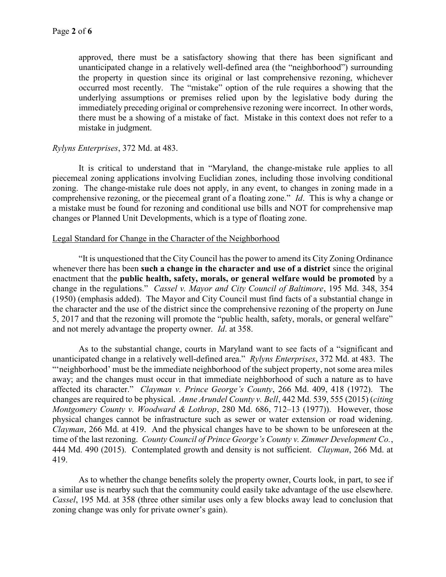approved, there must be a satisfactory showing that there has been significant and unanticipated change in a relatively well-defined area (the "neighborhood") surrounding the property in question since its original or last comprehensive rezoning, whichever occurred most recently. The "mistake" option of the rule requires a showing that the underlying assumptions or premises relied upon by the legislative body during the immediately preceding original or comprehensive rezoning were incorrect. In other words, there must be a showing of a mistake of fact. Mistake in this context does not refer to a mistake in judgment.

## Rylyns Enterprises, 372 Md. at 483.

It is critical to understand that in "Maryland, the change-mistake rule applies to all piecemeal zoning applications involving Euclidian zones, including those involving conditional zoning. The change-mistake rule does not apply, in any event, to changes in zoning made in a comprehensive rezoning, or the piecemeal grant of a floating zone." Id. This is why a change or a mistake must be found for rezoning and conditional use bills and NOT for comprehensive map changes or Planned Unit Developments, which is a type of floating zone.

### Legal Standard for Change in the Character of the Neighborhood

"It is unquestioned that the City Council has the power to amend its City Zoning Ordinance whenever there has been such a change in the character and use of a district since the original enactment that the public health, safety, morals, or general welfare would be promoted by a change in the regulations." Cassel v. Mayor and City Council of Baltimore, 195 Md. 348, 354 (1950) (emphasis added). The Mayor and City Council must find facts of a substantial change in the character and the use of the district since the comprehensive rezoning of the property on June 5, 2017 and that the rezoning will promote the "public health, safety, morals, or general welfare" and not merely advantage the property owner. Id. at 358.

As to the substantial change, courts in Maryland want to see facts of a "significant and unanticipated change in a relatively well-defined area." Rylyns Enterprises, 372 Md. at 483. The ""neighborhood' must be the immediate neighborhood of the subject property, not some area miles away; and the changes must occur in that immediate neighborhood of such a nature as to have affected its character." Clayman v. Prince George's County, 266 Md. 409, 418 (1972). The changes are required to be physical. Anne Arundel County v. Bell, 442 Md. 539, 555 (2015) (citing Montgomery County v. Woodward & Lothrop, 280 Md. 686, 712–13 (1977)). However, those physical changes cannot be infrastructure such as sewer or water extension or road widening. Clayman, 266 Md. at 419. And the physical changes have to be shown to be unforeseen at the time of the last rezoning. County Council of Prince George's County v. Zimmer Development Co., 444 Md. 490 (2015). Contemplated growth and density is not sufficient. *Clayman*, 266 Md. at 419.

As to whether the change benefits solely the property owner, Courts look, in part, to see if a similar use is nearby such that the community could easily take advantage of the use elsewhere. Cassel, 195 Md. at 358 (three other similar uses only a few blocks away lead to conclusion that zoning change was only for private owner's gain).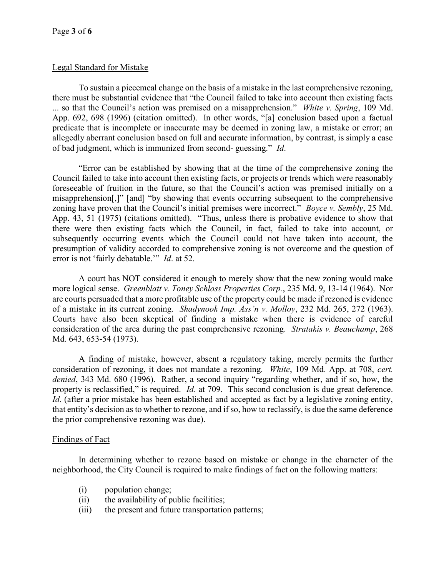# Legal Standard for Mistake

To sustain a piecemeal change on the basis of a mistake in the last comprehensive rezoning, there must be substantial evidence that "the Council failed to take into account then existing facts ... so that the Council's action was premised on a misapprehension." White v. Spring, 109 Md. App. 692, 698 (1996) (citation omitted). In other words, "[a] conclusion based upon a factual predicate that is incomplete or inaccurate may be deemed in zoning law, a mistake or error; an allegedly aberrant conclusion based on full and accurate information, by contrast, is simply a case of bad judgment, which is immunized from second- guessing." Id.

"Error can be established by showing that at the time of the comprehensive zoning the Council failed to take into account then existing facts, or projects or trends which were reasonably foreseeable of fruition in the future, so that the Council's action was premised initially on a misapprehension[,]" [and] "by showing that events occurring subsequent to the comprehensive zoning have proven that the Council's initial premises were incorrect." *Boyce v. Sembly*, 25 Md. App. 43, 51 (1975) (citations omitted). "Thus, unless there is probative evidence to show that there were then existing facts which the Council, in fact, failed to take into account, or subsequently occurring events which the Council could not have taken into account, the presumption of validity accorded to comprehensive zoning is not overcome and the question of error is not 'fairly debatable.'" *Id.* at 52.

A court has NOT considered it enough to merely show that the new zoning would make more logical sense. Greenblatt v. Toney Schloss Properties Corp., 235 Md. 9, 13-14 (1964). Nor are courts persuaded that a more profitable use of the property could be made if rezoned is evidence of a mistake in its current zoning. Shadynook Imp. Ass'n v. Molloy, 232 Md. 265, 272 (1963). Courts have also been skeptical of finding a mistake when there is evidence of careful consideration of the area during the past comprehensive rezoning. Stratakis v. Beauchamp, 268 Md. 643, 653-54 (1973).

A finding of mistake, however, absent a regulatory taking, merely permits the further consideration of rezoning, it does not mandate a rezoning. White, 109 Md. App. at 708, cert. denied, 343 Md. 680 (1996). Rather, a second inquiry "regarding whether, and if so, how, the property is reclassified," is required. *Id.* at 709. This second conclusion is due great deference. Id. (after a prior mistake has been established and accepted as fact by a legislative zoning entity, that entity's decision as to whether to rezone, and if so, how to reclassify, is due the same deference the prior comprehensive rezoning was due).

# Findings of Fact

In determining whether to rezone based on mistake or change in the character of the neighborhood, the City Council is required to make findings of fact on the following matters:

- (i) population change;
- (ii) the availability of public facilities;
- (iii) the present and future transportation patterns;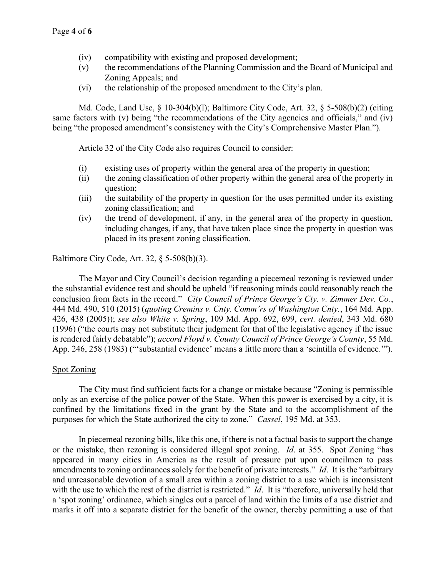- (iv) compatibility with existing and proposed development;
- (v) the recommendations of the Planning Commission and the Board of Municipal and Zoning Appeals; and
- (vi) the relationship of the proposed amendment to the City's plan.

Md. Code, Land Use, § 10-304(b)(l); Baltimore City Code, Art. 32, § 5-508(b)(2) (citing same factors with (v) being "the recommendations of the City agencies and officials," and (iv) being "the proposed amendment's consistency with the City's Comprehensive Master Plan.").

Article 32 of the City Code also requires Council to consider:

- (i) existing uses of property within the general area of the property in question;
- (ii) the zoning classification of other property within the general area of the property in question;
- (iii) the suitability of the property in question for the uses permitted under its existing zoning classification; and
- (iv) the trend of development, if any, in the general area of the property in question, including changes, if any, that have taken place since the property in question was placed in its present zoning classification.

Baltimore City Code, Art. 32, § 5-508(b)(3).

The Mayor and City Council's decision regarding a piecemeal rezoning is reviewed under the substantial evidence test and should be upheld "if reasoning minds could reasonably reach the conclusion from facts in the record." City Council of Prince George's Cty. v. Zimmer Dev. Co., 444 Md. 490, 510 (2015) (quoting Cremins v. Cnty. Comm'rs of Washington Cnty., 164 Md. App. 426, 438 (2005)); see also White v. Spring, 109 Md. App. 692, 699, cert. denied, 343 Md. 680 (1996) ("the courts may not substitute their judgment for that of the legislative agency if the issue is rendered fairly debatable"); accord Floyd v. County Council of Prince George's County, 55 Md. App. 246, 258 (1983) ("'substantial evidence' means a little more than a 'scintilla of evidence.'").

### Spot Zoning

The City must find sufficient facts for a change or mistake because "Zoning is permissible only as an exercise of the police power of the State. When this power is exercised by a city, it is confined by the limitations fixed in the grant by the State and to the accomplishment of the purposes for which the State authorized the city to zone." Cassel, 195 Md. at 353.

In piecemeal rezoning bills, like this one, if there is not a factual basis to support the change or the mistake, then rezoning is considered illegal spot zoning. Id. at 355. Spot Zoning "has appeared in many cities in America as the result of pressure put upon councilmen to pass amendments to zoning ordinances solely for the benefit of private interests." Id. It is the "arbitrary and unreasonable devotion of a small area within a zoning district to a use which is inconsistent with the use to which the rest of the district is restricted." *Id.* It is "therefore, universally held that a 'spot zoning' ordinance, which singles out a parcel of land within the limits of a use district and marks it off into a separate district for the benefit of the owner, thereby permitting a use of that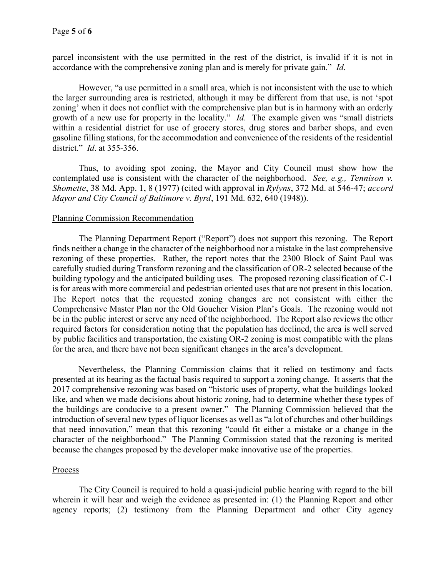parcel inconsistent with the use permitted in the rest of the district, is invalid if it is not in accordance with the comprehensive zoning plan and is merely for private gain." Id.

However, "a use permitted in a small area, which is not inconsistent with the use to which the larger surrounding area is restricted, although it may be different from that use, is not 'spot zoning' when it does not conflict with the comprehensive plan but is in harmony with an orderly growth of a new use for property in the locality." Id. The example given was "small districts within a residential district for use of grocery stores, drug stores and barber shops, and even gasoline filling stations, for the accommodation and convenience of the residents of the residential district." *Id.* at 355-356.

Thus, to avoiding spot zoning, the Mayor and City Council must show how the contemplated use is consistent with the character of the neighborhood. See, e.g., Tennison v. Shomette, 38 Md. App. 1, 8 (1977) (cited with approval in Rylyns, 372 Md. at 546-47; accord Mayor and City Council of Baltimore v. Byrd, 191 Md. 632, 640 (1948)).

### Planning Commission Recommendation

The Planning Department Report ("Report") does not support this rezoning. The Report finds neither a change in the character of the neighborhood nor a mistake in the last comprehensive rezoning of these properties. Rather, the report notes that the 2300 Block of Saint Paul was carefully studied during Transform rezoning and the classification of OR-2 selected because of the building typology and the anticipated building uses. The proposed rezoning classification of C-1 is for areas with more commercial and pedestrian oriented uses that are not present in this location. The Report notes that the requested zoning changes are not consistent with either the Comprehensive Master Plan nor the Old Goucher Vision Plan's Goals. The rezoning would not be in the public interest or serve any need of the neighborhood. The Report also reviews the other required factors for consideration noting that the population has declined, the area is well served by public facilities and transportation, the existing OR-2 zoning is most compatible with the plans for the area, and there have not been significant changes in the area's development.

Nevertheless, the Planning Commission claims that it relied on testimony and facts presented at its hearing as the factual basis required to support a zoning change. It asserts that the 2017 comprehensive rezoning was based on "historic uses of property, what the buildings looked like, and when we made decisions about historic zoning, had to determine whether these types of the buildings are conducive to a present owner." The Planning Commission believed that the introduction of several new types of liquor licenses as well as "a lot of churches and other buildings that need innovation," mean that this rezoning "could fit either a mistake or a change in the character of the neighborhood." The Planning Commission stated that the rezoning is merited because the changes proposed by the developer make innovative use of the properties.

#### Process

The City Council is required to hold a quasi-judicial public hearing with regard to the bill wherein it will hear and weigh the evidence as presented in: (1) the Planning Report and other agency reports; (2) testimony from the Planning Department and other City agency